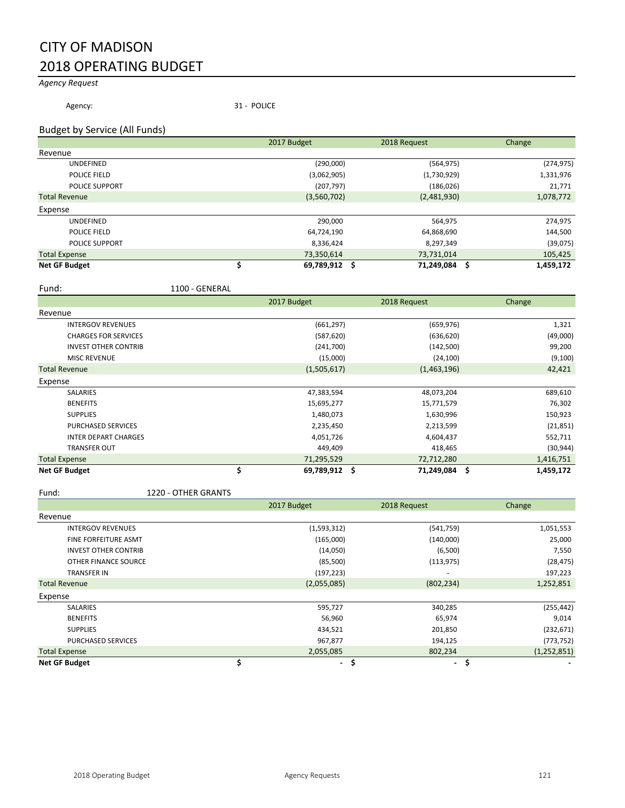### CITY OF MADISON 2018 OPERATING BUDGET

#### *Agency Request*

Agency: 31 - POLICE

#### Budget by Service (All Funds)

|                       | 2017 Budget   | 2018 Request  | Change     |
|-----------------------|---------------|---------------|------------|
| Revenue               |               |               |            |
| <b>UNDEFINED</b>      | (290,000)     | (564, 975)    | (274, 975) |
| POLICE FIELD          | (3,062,905)   | (1,730,929)   | 1,331,976  |
| <b>POLICE SUPPORT</b> | (207, 797)    | (186, 026)    | 21,771     |
| <b>Total Revenue</b>  | (3,560,702)   | (2,481,930)   | 1,078,772  |
| Expense               |               |               |            |
| <b>UNDEFINED</b>      | 290,000       | 564,975       | 274,975    |
| POLICE FIELD          | 64,724,190    | 64,868,690    | 144,500    |
| <b>POLICE SUPPORT</b> | 8,336,424     | 8,297,349     | (39,075)   |
| <b>Total Expense</b>  | 73,350,614    | 73,731,014    | 105,425    |
| <b>Net GF Budget</b>  | 69,789,912 \$ | 71,249,084 \$ | 1,459,172  |

Fund: 1100 - GENERAL

|                             | 2017 Budget | 2018 Request                | Change           |
|-----------------------------|-------------|-----------------------------|------------------|
| Revenue                     |             |                             |                  |
| <b>INTERGOV REVENUES</b>    |             | (661, 297)<br>(659, 976)    | 1,321            |
| <b>CHARGES FOR SERVICES</b> |             | (587, 620)<br>(636, 620)    | (49,000)         |
| <b>INVEST OTHER CONTRIB</b> |             | (142,500)<br>(241,700)      | 99,200           |
| <b>MISC REVENUE</b>         |             | (15,000)<br>(24, 100)       | (9,100)          |
| <b>Total Revenue</b>        | (1,505,617) | (1,463,196)                 | 42,421           |
| Expense                     |             |                             |                  |
| <b>SALARIES</b>             | 47,383,594  | 48,073,204                  | 689,610          |
| <b>BENEFITS</b>             | 15,695,277  | 15,771,579                  | 76,302           |
| <b>SUPPLIES</b>             | 1,480,073   | 1,630,996                   | 150,923          |
| PURCHASED SERVICES          | 2,235,450   | 2,213,599                   | (21, 851)        |
| <b>INTER DEPART CHARGES</b> | 4,051,726   | 4,604,437                   | 552,711          |
| <b>TRANSFER OUT</b>         |             | 449,409<br>418,465          | (30, 944)        |
| <b>Total Expense</b>        | 71,295,529  | 72,712,280                  | 1,416,751        |
| <b>Net GF Budget</b>        |             | 69,789,912 \$<br>71,249,084 | -\$<br>1,459,172 |

Fund: 1220 - OTHER GRANTS

|                             | 2017 Budget |             | 2018 Request   | Change        |
|-----------------------------|-------------|-------------|----------------|---------------|
| Revenue                     |             |             |                |               |
| <b>INTERGOV REVENUES</b>    |             | (1,593,312) | (541,759)      | 1,051,553     |
| <b>FINE FORFEITURE ASMT</b> |             | (165,000)   | (140,000)      | 25,000        |
| <b>INVEST OTHER CONTRIB</b> |             | (14,050)    | (6,500)        | 7,550         |
| OTHER FINANCE SOURCE        |             | (85, 500)   | (113, 975)     | (28, 475)     |
| <b>TRANSFER IN</b>          |             | (197, 223)  |                | 197,223       |
| <b>Total Revenue</b>        |             | (2,055,085) | (802, 234)     | 1,252,851     |
| Expense                     |             |             |                |               |
| <b>SALARIES</b>             |             | 595,727     | 340,285        | (255, 442)    |
| <b>BENEFITS</b>             |             | 56,960      | 65,974         | 9,014         |
| <b>SUPPLIES</b>             |             | 434,521     | 201,850        | (232, 671)    |
| <b>PURCHASED SERVICES</b>   |             | 967,877     | 194,125        | (773, 752)    |
| <b>Total Expense</b>        |             | 2,055,085   | 802,234        | (1, 252, 851) |
| <b>Net GF Budget</b>        |             | Ş           | $\blacksquare$ | Ş             |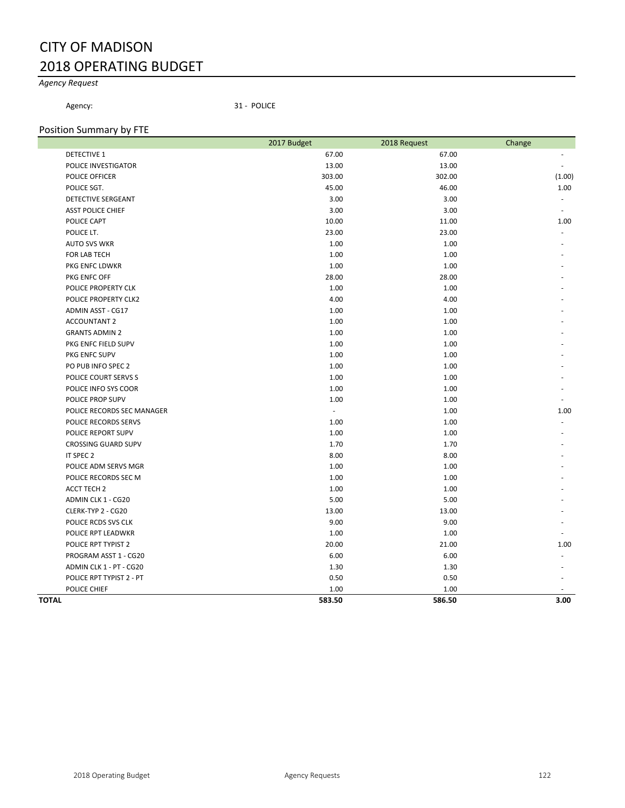## CITY OF MADISON 2018 OPERATING BUDGET

### *Agency Request*

Agency: 31 - POLICE

#### Position Summary by FTE

|                            | 2017 Budget | 2018 Request | Change |
|----------------------------|-------------|--------------|--------|
| <b>DETECTIVE 1</b>         | 67.00       | 67.00        |        |
| POLICE INVESTIGATOR        | 13.00       | 13.00        |        |
| POLICE OFFICER             | 303.00      | 302.00       | (1.00) |
| POLICE SGT.                | 45.00       | 46.00        | 1.00   |
| DETECTIVE SERGEANT         | 3.00        | 3.00         |        |
| <b>ASST POLICE CHIEF</b>   | 3.00        | 3.00         |        |
| POLICE CAPT                | 10.00       | 11.00        | 1.00   |
| POLICE LT.                 | 23.00       | 23.00        |        |
| <b>AUTO SVS WKR</b>        | 1.00        | 1.00         |        |
| FOR LAB TECH               | 1.00        | 1.00         |        |
| PKG ENFC LDWKR             | 1.00        | 1.00         |        |
| PKG ENFC OFF               | 28.00       | 28.00        |        |
| POLICE PROPERTY CLK        | 1.00        | 1.00         |        |
| POLICE PROPERTY CLK2       | 4.00        | 4.00         |        |
| <b>ADMIN ASST - CG17</b>   | 1.00        | 1.00         |        |
| <b>ACCOUNTANT 2</b>        | 1.00        | 1.00         |        |
| <b>GRANTS ADMIN 2</b>      | 1.00        | 1.00         |        |
| PKG ENFC FIELD SUPV        | 1.00        | 1.00         |        |
| PKG ENFC SUPV              | 1.00        | 1.00         |        |
| PO PUB INFO SPEC 2         | 1.00        | 1.00         |        |
| POLICE COURT SERVS S       | 1.00        | 1.00         |        |
| POLICE INFO SYS COOR       | 1.00        | 1.00         |        |
| POLICE PROP SUPV           | 1.00        | 1.00         |        |
| POLICE RECORDS SEC MANAGER | $\sim$      | 1.00         | 1.00   |
| POLICE RECORDS SERVS       | 1.00        | 1.00         |        |
| POLICE REPORT SUPV         | 1.00        | 1.00         |        |
| <b>CROSSING GUARD SUPV</b> | 1.70        | 1.70         |        |
| IT SPEC 2                  | 8.00        | 8.00         |        |
| POLICE ADM SERVS MGR       | 1.00        | 1.00         |        |
| POLICE RECORDS SEC M       | 1.00        | 1.00         |        |
| <b>ACCT TECH 2</b>         | 1.00        | 1.00         |        |
| ADMIN CLK 1 - CG20         | 5.00        | 5.00         |        |
| CLERK-TYP 2 - CG20         | 13.00       | 13.00        |        |
| POLICE RCDS SVS CLK        | 9.00        | 9.00         |        |
| POLICE RPT LEADWKR         | 1.00        | 1.00         |        |
| POLICE RPT TYPIST 2        | 20.00       | 21.00        | 1.00   |
| PROGRAM ASST 1 - CG20      | 6.00        | 6.00         |        |
| ADMIN CLK 1 - PT - CG20    | 1.30        | 1.30         |        |
| POLICE RPT TYPIST 2 - PT   | 0.50        | 0.50         |        |
| POLICE CHIEF               | 1.00        | 1.00         |        |
| TOTAL                      | 583.50      | 586.50       | 3.00   |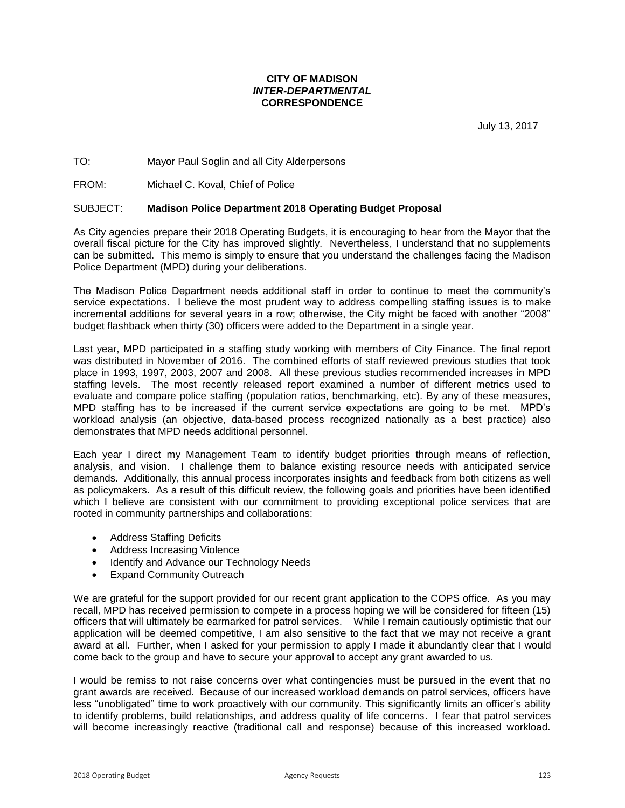#### **CITY OF MADISON**  *INTER-DEPARTMENTAL* **CORRESPONDENCE**

July 13, 2017

#### TO: Mayor Paul Soglin and all City Alderpersons

FROM: Michael C. Koval, Chief of Police

#### SUBJECT: **Madison Police Department 2018 Operating Budget Proposal**

As City agencies prepare their 2018 Operating Budgets, it is encouraging to hear from the Mayor that the overall fiscal picture for the City has improved slightly. Nevertheless, I understand that no supplements can be submitted. This memo is simply to ensure that you understand the challenges facing the Madison Police Department (MPD) during your deliberations.

The Madison Police Department needs additional staff in order to continue to meet the community's service expectations. I believe the most prudent way to address compelling staffing issues is to make incremental additions for several years in a row; otherwise, the City might be faced with another "2008" budget flashback when thirty (30) officers were added to the Department in a single year.

Last year, MPD participated in a staffing study working with members of City Finance. The final report was distributed in November of 2016. The combined efforts of staff reviewed previous studies that took place in 1993, 1997, 2003, 2007 and 2008. All these previous studies recommended increases in MPD staffing levels. The most recently released report examined a number of different metrics used to evaluate and compare police staffing (population ratios, benchmarking, etc). By any of these measures, MPD staffing has to be increased if the current service expectations are going to be met. MPD's workload analysis (an objective, data-based process recognized nationally as a best practice) also demonstrates that MPD needs additional personnel.

Each year I direct my Management Team to identify budget priorities through means of reflection, analysis, and vision. I challenge them to balance existing resource needs with anticipated service demands. Additionally, this annual process incorporates insights and feedback from both citizens as well as policymakers. As a result of this difficult review, the following goals and priorities have been identified which I believe are consistent with our commitment to providing exceptional police services that are rooted in community partnerships and collaborations:

- Address Staffing Deficits
- Address Increasing Violence
- Identify and Advance our Technology Needs
- Expand Community Outreach

We are grateful for the support provided for our recent grant application to the COPS office. As you may recall, MPD has received permission to compete in a process hoping we will be considered for fifteen (15) officers that will ultimately be earmarked for patrol services. While I remain cautiously optimistic that our application will be deemed competitive, I am also sensitive to the fact that we may not receive a grant award at all. Further, when I asked for your permission to apply I made it abundantly clear that I would come back to the group and have to secure your approval to accept any grant awarded to us.

I would be remiss to not raise concerns over what contingencies must be pursued in the event that no grant awards are received. Because of our increased workload demands on patrol services, officers have less "unobligated" time to work proactively with our community. This significantly limits an officer's ability to identify problems, build relationships, and address quality of life concerns. I fear that patrol services will become increasingly reactive (traditional call and response) because of this increased workload.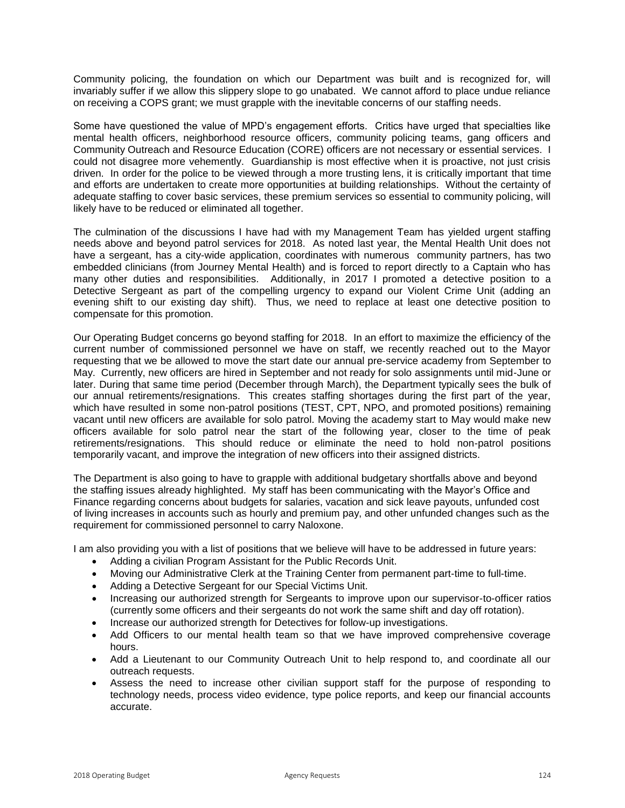Community policing, the foundation on which our Department was built and is recognized for, will invariably suffer if we allow this slippery slope to go unabated. We cannot afford to place undue reliance on receiving a COPS grant; we must grapple with the inevitable concerns of our staffing needs.

Some have questioned the value of MPD's engagement efforts. Critics have urged that specialties like mental health officers, neighborhood resource officers, community policing teams, gang officers and Community Outreach and Resource Education (CORE) officers are not necessary or essential services. I could not disagree more vehemently. Guardianship is most effective when it is proactive, not just crisis driven. In order for the police to be viewed through a more trusting lens, it is critically important that time and efforts are undertaken to create more opportunities at building relationships. Without the certainty of adequate staffing to cover basic services, these premium services so essential to community policing, will likely have to be reduced or eliminated all together.

The culmination of the discussions I have had with my Management Team has yielded urgent staffing needs above and beyond patrol services for 2018. As noted last year, the Mental Health Unit does not have a sergeant, has a city-wide application, coordinates with numerous community partners, has two embedded clinicians (from Journey Mental Health) and is forced to report directly to a Captain who has many other duties and responsibilities. Additionally, in 2017 I promoted a detective position to a Detective Sergeant as part of the compelling urgency to expand our Violent Crime Unit (adding an evening shift to our existing day shift). Thus, we need to replace at least one detective position to compensate for this promotion.

Our Operating Budget concerns go beyond staffing for 2018. In an effort to maximize the efficiency of the current number of commissioned personnel we have on staff, we recently reached out to the Mayor requesting that we be allowed to move the start date our annual pre-service academy from September to May. Currently, new officers are hired in September and not ready for solo assignments until mid-June or later. During that same time period (December through March), the Department typically sees the bulk of our annual retirements/resignations. This creates staffing shortages during the first part of the year, which have resulted in some non-patrol positions (TEST, CPT, NPO, and promoted positions) remaining vacant until new officers are available for solo patrol. Moving the academy start to May would make new officers available for solo patrol near the start of the following year, closer to the time of peak retirements/resignations. This should reduce or eliminate the need to hold non-patrol positions temporarily vacant, and improve the integration of new officers into their assigned districts.

The Department is also going to have to grapple with additional budgetary shortfalls above and beyond the staffing issues already highlighted. My staff has been communicating with the Mayor's Office and Finance regarding concerns about budgets for salaries, vacation and sick leave payouts, unfunded cost of living increases in accounts such as hourly and premium pay, and other unfunded changes such as the requirement for commissioned personnel to carry Naloxone.

I am also providing you with a list of positions that we believe will have to be addressed in future years:

- Adding a civilian Program Assistant for the Public Records Unit.
- Moving our Administrative Clerk at the Training Center from permanent part-time to full-time.
- Adding a Detective Sergeant for our Special Victims Unit.
- Increasing our authorized strength for Sergeants to improve upon our supervisor-to-officer ratios (currently some officers and their sergeants do not work the same shift and day off rotation).
- Increase our authorized strength for Detectives for follow-up investigations.
- Add Officers to our mental health team so that we have improved comprehensive coverage hours.
- Add a Lieutenant to our Community Outreach Unit to help respond to, and coordinate all our outreach requests.
- Assess the need to increase other civilian support staff for the purpose of responding to technology needs, process video evidence, type police reports, and keep our financial accounts accurate.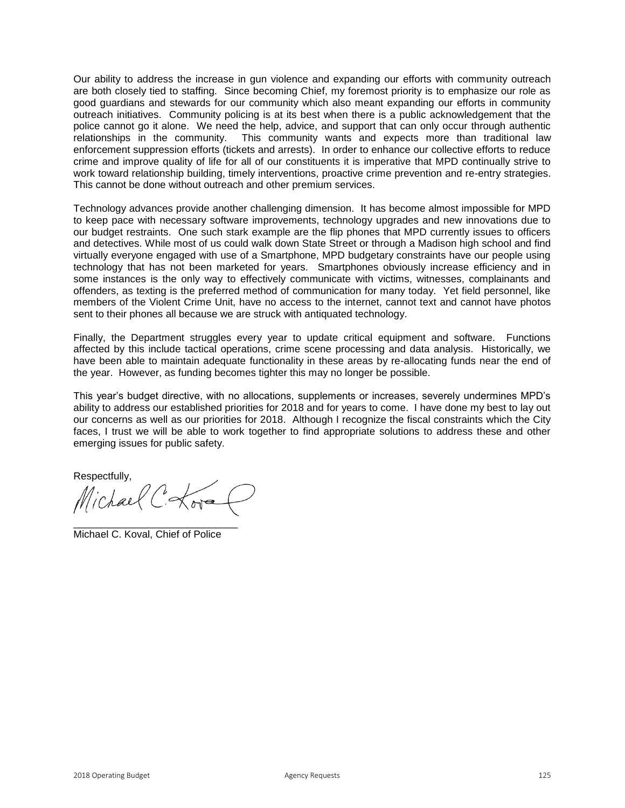Our ability to address the increase in gun violence and expanding our efforts with community outreach are both closely tied to staffing. Since becoming Chief, my foremost priority is to emphasize our role as good guardians and stewards for our community which also meant expanding our efforts in community outreach initiatives. Community policing is at its best when there is a public acknowledgement that the police cannot go it alone. We need the help, advice, and support that can only occur through authentic relationships in the community. This community wants and expects more than traditional law enforcement suppression efforts (tickets and arrests). In order to enhance our collective efforts to reduce crime and improve quality of life for all of our constituents it is imperative that MPD continually strive to work toward relationship building, timely interventions, proactive crime prevention and re-entry strategies. This cannot be done without outreach and other premium services.

Technology advances provide another challenging dimension. It has become almost impossible for MPD to keep pace with necessary software improvements, technology upgrades and new innovations due to our budget restraints. One such stark example are the flip phones that MPD currently issues to officers and detectives. While most of us could walk down State Street or through a Madison high school and find virtually everyone engaged with use of a Smartphone, MPD budgetary constraints have our people using technology that has not been marketed for years. Smartphones obviously increase efficiency and in some instances is the only way to effectively communicate with victims, witnesses, complainants and offenders, as texting is the preferred method of communication for many today. Yet field personnel, like members of the Violent Crime Unit, have no access to the internet, cannot text and cannot have photos sent to their phones all because we are struck with antiquated technology.

Finally, the Department struggles every year to update critical equipment and software. Functions affected by this include tactical operations, crime scene processing and data analysis. Historically, we have been able to maintain adequate functionality in these areas by re-allocating funds near the end of the year. However, as funding becomes tighter this may no longer be possible.

This year's budget directive, with no allocations, supplements or increases, severely undermines MPD's ability to address our established priorities for 2018 and for years to come. I have done my best to lay out our concerns as well as our priorities for 2018. Although I recognize the fiscal constraints which the City faces, I trust we will be able to work together to find appropriate solutions to address these and other emerging issues for public safety.

Respectfully,

Michael C. Lora

\_\_\_\_\_\_\_\_\_\_\_\_\_\_\_\_\_\_\_\_\_\_\_\_\_\_\_\_\_ Michael C. Koval, Chief of Police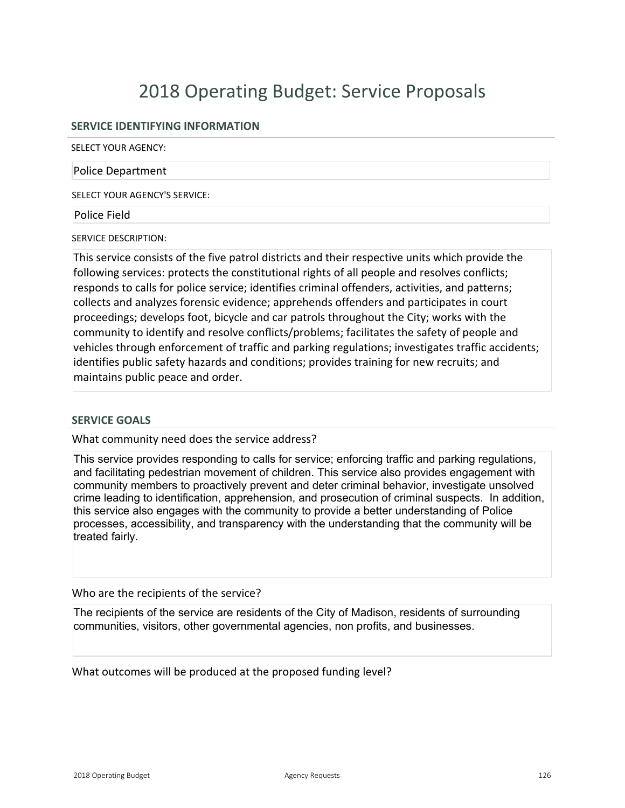# 2018 Operating Budget: Service Proposals

#### **SERVICE IDENTIFYING INFORMATION**

SELECT YOUR AGENCY:

#### Police Department

SELECT YOUR AGENCY'S SERVICE:

Police Field

SERVICE DESCRIPTION:

This service consists of the five patrol districts and their respective units which provide the following services: protects the constitutional rights of all people and resolves conflicts; responds to calls for police service; identifies criminal offenders, activities, and patterns; collects and analyzes forensic evidence; apprehends offenders and participates in court proceedings; develops foot, bicycle and car patrols throughout the City; works with the community to identify and resolve conflicts/problems; facilitates the safety of people and vehicles through enforcement of traffic and parking regulations; investigates traffic accidents; identifies public safety hazards and conditions; provides training for new recruits; and maintains public peace and order.

#### **SERVICE GOALS**

What community need does the service address?

This service provides responding to calls for service; enforcing traffic and parking regulations, and facilitating pedestrian movement of children. This service also provides engagement with community members to proactively prevent and deter criminal behavior, investigate unsolved crime leading to identification, apprehension, and prosecution of criminal suspects. In addition, this service also engages with the community to provide a better understanding of Police processes, accessibility, and transparency with the understanding that the community will be treated fairly.

Who are the recipients of the service?

The recipients of the service are residents of the City of Madison, residents of surrounding communities, visitors, other governmental agencies, non profits, and businesses.

What outcomes will be produced at the proposed funding level?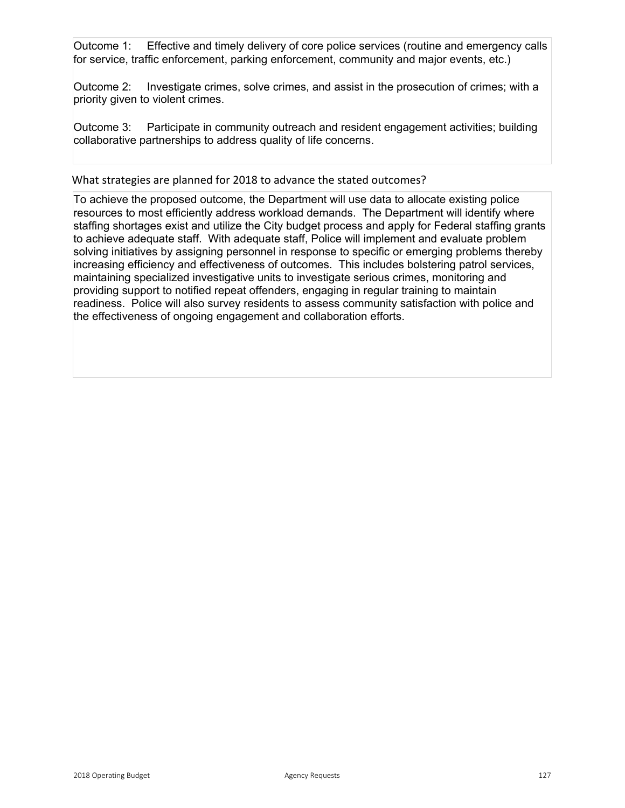Outcome 1: Effective and timely delivery of core police services (routine and emergency calls for service, traffic enforcement, parking enforcement, community and major events, etc.)

Outcome 2: Investigate crimes, solve crimes, and assist in the prosecution of crimes; with a priority given to violent crimes.

Outcome 3: Participate in community outreach and resident engagement activities; building collaborative partnerships to address quality of life concerns.

What strategies are planned for 2018 to advance the stated outcomes?

To achieve the proposed outcome, the Department will use data to allocate existing police resources to most efficiently address workload demands. The Department will identify where staffing shortages exist and utilize the City budget process and apply for Federal staffing grants to achieve adequate staff. With adequate staff, Police will implement and evaluate problem solving initiatives by assigning personnel in response to specific or emerging problems thereby increasing efficiency and effectiveness of outcomes. This includes bolstering patrol services, maintaining specialized investigative units to investigate serious crimes, monitoring and providing support to notified repeat offenders, engaging in regular training to maintain readiness. Police will also survey residents to assess community satisfaction with police and the effectiveness of ongoing engagement and collaboration efforts.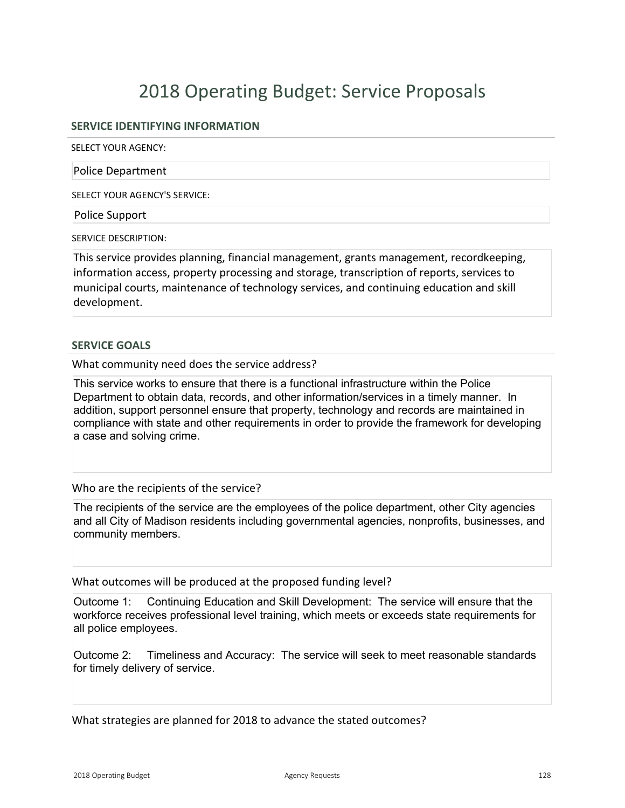# 2018 Operating Budget: Service Proposals

#### **SERVICE IDENTIFYING INFORMATION**

SELECT YOUR AGENCY:

Police Department

SELECT YOUR AGENCY'S SERVICE:

Police Support

SERVICE DESCRIPTION:

This service provides planning, financial management, grants management, recordkeeping, information access, property processing and storage, transcription of reports, services to municipal courts, maintenance of technology services, and continuing education and skill development.

#### **SERVICE GOALS**

What community need does the service address?

This service works to ensure that there is a functional infrastructure within the Police Department to obtain data, records, and other information/services in a timely manner. In addition, support personnel ensure that property, technology and records are maintained in compliance with state and other requirements in order to provide the framework for developing a case and solving crime.

Who are the recipients of the service?

The recipients of the service are the employees of the police department, other City agencies and all City of Madison residents including governmental agencies, nonprofits, businesses, and community members.

What outcomes will be produced at the proposed funding level?

Outcome 1: Continuing Education and Skill Development: The service will ensure that the workforce receives professional level training, which meets or exceeds state requirements for all police employees.

Outcome 2: Timeliness and Accuracy: The service will seek to meet reasonable standards for timely delivery of service.

What strategies are planned for 2018 to advance the stated outcomes?